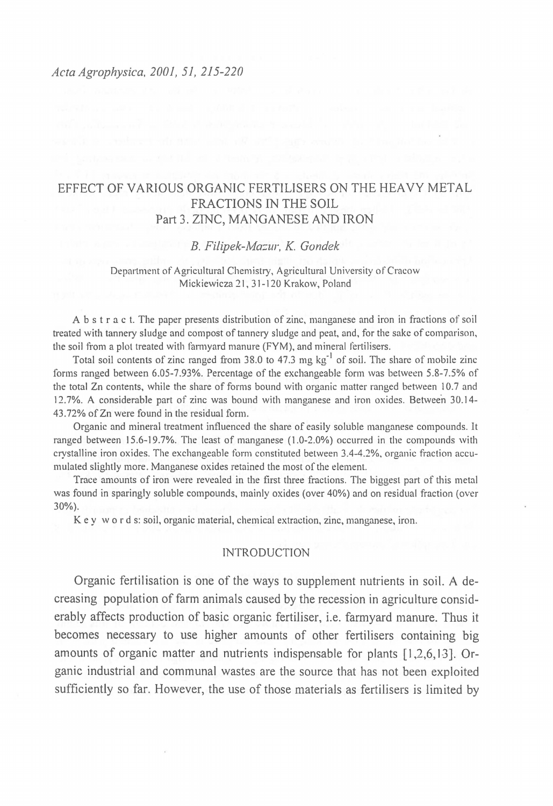### *Acta Agrophysica, 2001, 51, 215-220*

# EFFECT OF VARIOUS ORGANIC FERTILISERS ON THE HEAVY METAL FRACTIONS IN THE SOIL Part 3. ZINC, MANGANESE AND IRON

# *B. Filipek-Ma=ur, K. Gondek*

### Department of Agricultural Chemistry, Agricultural University of Cracow Mickiewicza 21, 31-120 Krakow, Poland

A b s t r a c t. The paper presents distribution of zinc, manganese and iron in fractions of soil treated with tannery sludge and compost of tannery sludge and peat, and, for the sake of comparison, the soil from a plot treated with farmyard manure (FYM), and mineral fertilisers.

Total soil contents of zinc ranged from 38.0 to 47.3 mg  $kg^{-1}$  of soil. The share of mobile zinc forms ranged between 6.05-7.93%. Percentage of the exchangeable form was between 5.8-7.5% of the total Zn contents, while the share of forms bound with organic matter ranged between 10.7 and 12.7%. A considerable part of zinc was bound with manganese and iron oxides. Between 30.14-43.72% of Zn were found in the residual form.

Organic and mineral treatment influenced the share of easily soluble manganese compounds. It ranged between 15.6-19.7%. The least of manganese (1.0-2.0%) occurred in the compounds with crystalline iron oxides. The exchangeable form constituted between 3.4-4.2%, organic fraction accumulated slightly more. Manganese oxides retained the most of the element.

Trace amounts of iron were revealed in the first three fractions. The biggest part of this metal was found in sparingly soluble compounds, mainly oxides (over 40%) and on residual fraction (over 30%).

K e y w o r d s: soil, organic material, chemical extraction, zinc, manganese, iron.

# INTRODUCTION

Organic fertilisation is one of the ways to supplement nutrients in soil. A decreasing population of farm animals caused by the recession in agriculture considerably affects production of basic organic fertiliser, i.e. farmyard manure. Thus it becomes necessary to use higher amounts of other fertilisers containing big amounts of organic matter and nutrients indispensable for plants [1,2,6,13]. Organic industrial and communal wastes are the source that has not been exploited sufficiently so far. However, the use of those materials as fertilisers is limited by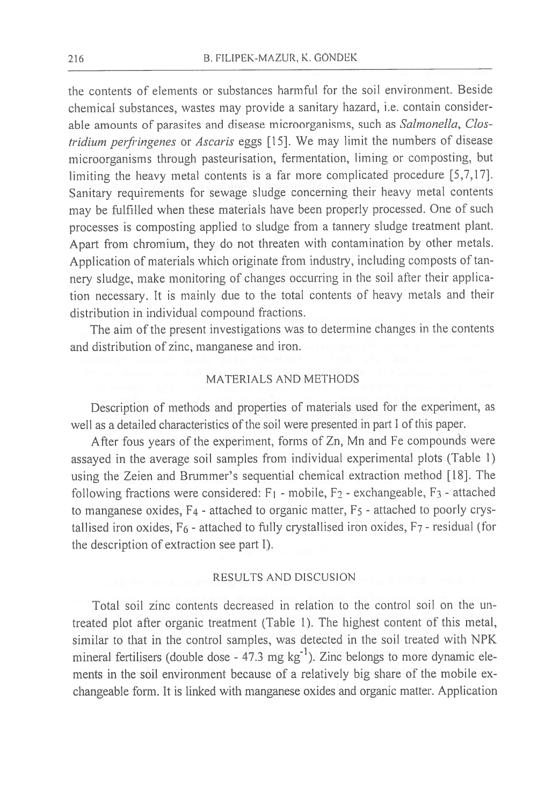the contents of elements or substances harmful for the soil environment. Beside chemical substances, wastes may provide a sanitary hazard, i.e. contain considerable amounts of parasites and disease microorganisms, such as Salmonella, Clostridium perfringenes or Ascaris eggs [15]. We may limit the numbers of disease microorganisms through pasteurisation, fermentation, liming or composting, but limiting the heavy metal contents is a far more complicated procedure  $[5,7,17]$ . Sanitary requirements for sewage sludge concerning their heavy metal contents may be fulfilled when these materials have been properly processed. One of such processes is composting applied to sludge from a tannery sludge treatment plant. Apart from chromium, they do not threaten with contamination by other metals. Application of materials which originate from industry, including composts of tannery sludge, make monitoring of changes occurring in the soil after their application necessary. It is mainly due to the total contents of heavy metals and their distribution in individual compound fractions.

The aim of the present investigations was to determine changes in the contents and distribution of zinc, manganese and iron.

### MATERIALS AND METHODS

Description of methods and properties of materials used for the experiment, as well as a detailed characteristics of the soil were presented in part I of this paper.

After fous years of the experiment, forms of Zn, Mn and Fe compounds were assayed in the average soil samples from individual experimental plots (Table 1) using the Zeien and Brummer's sequential chemical extraction method [18]. The following fractions were considered: F<sub>1</sub> - mobile, F<sub>2</sub> - exchangeable, F<sub>3</sub> - attached to manganese oxides, F<sub>4</sub> - attached to organic matter, F<sub>5</sub> - attached to poorly crystallised iron oxides,  $F_6$  - attached to fully crystallised iron oxides,  $F_7$  - residual (for the description of extraction see part I).

#### RESULTS AND DISCUSION

Total soil zinc contents decreased in relation to the control soil on the untreated plot after organic treatment (Table 1). The highest content of this metal, similar to that in the control samples, was detected in the soil treated with NPK mineral fertilisers (double dose -  $47.3$  mg  $\text{kg}^{-1}$ ). Zinc belongs to more dynamic elements in the soil environment because of a relatively big share of the mobile exchangeable form. It is linked with manganese oxides and organic matter. Application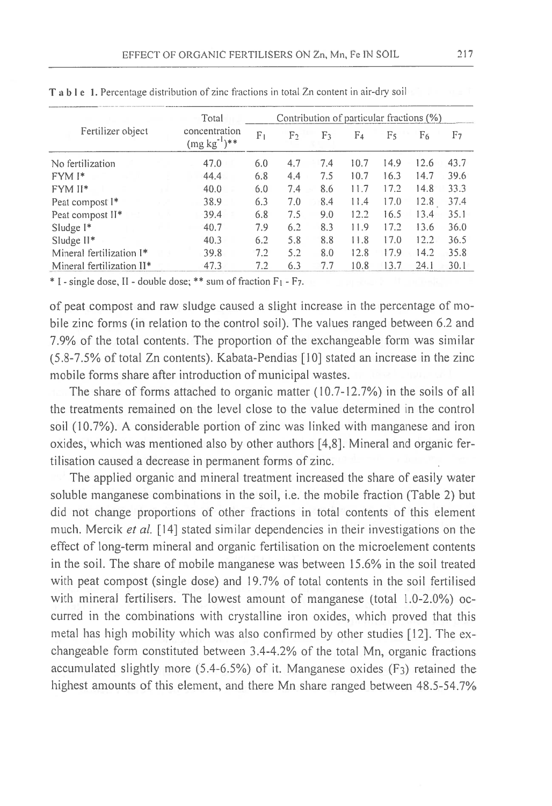| Fertilizer object                     | Total                              | Contribution of particular fractions (%) |     |                |                |      |      |                |  |
|---------------------------------------|------------------------------------|------------------------------------------|-----|----------------|----------------|------|------|----------------|--|
|                                       | concentration<br>$(mg kg^{-1})$ ** | F <sub>1</sub>                           | F2  | F <sub>3</sub> | F <sub>4</sub> | F5   | F6   | F <sub>7</sub> |  |
| No fertilization                      | 47.0                               | 6.0                                      | 4.7 | 7.4            | 10.7           | 14.9 | 12.6 | 43.7           |  |
| FYM <sup>I*</sup>                     | 44.4                               | 6.8                                      | 4.4 | 7.5            | 10.7           | 16.3 | 14.7 | 39.6           |  |
| <b>FYMII*</b>                         | 40.0                               | 6.0                                      | 7.4 | 8.6            | 11.7           | 17.2 | 14.8 | 33.3           |  |
| Peat compost I <sup>*</sup>           | 38.9                               | 6.3                                      | 7.0 | 8.4            | 11.4           | 17.0 | 12.8 | 37.4           |  |
| Peat compost II*                      | 39.4                               | 6.8                                      | 7.5 | 9.0            | 12.2           | 16.5 | 13.4 | 35.1           |  |
| Sludge I*                             | 40.7                               | 7.9                                      | 6.2 | 8.3            | 11.9           | 17.2 | 13.6 | 36.0           |  |
| Sludge $II^*$                         | 40.3                               | 6.2                                      | 5.8 | 8.8            | 11.8           | 17.0 | 12.2 | 36.5           |  |
| Mineral fertilization I*              | 39.8                               | 7.2                                      | 5.2 | 8.0            | 12.8           | 17.9 | 14.2 | 35.8           |  |
| Mineral fertilization II <sup>*</sup> | 47.3                               | 7.2                                      | 6.3 | 7.7            | 10.8           | 13.7 | 24.1 | 30.1           |  |

T a b l e 1. Percentage distribution of zinc fractions in total Zn content in air-dry soil

\* I - single dose, II - double dose; \*\* sum of fraction F<sub>1</sub> - F7.

of peat compost and raw sludge caused a slight increase in the percentage of mobile zinc forms (in relation to the control soil). The values ranged between 6.2 and 7.9% of the total contents. The proportion of the exchangeable form was similar (5.8-7.5% of total Zn contents). Kabata-Pendias [10] stated an increase in the zinc mobile forms share after introduction of municipal wastes.

The share of forms attached to organic matter (10.7-12.7%) in the soils of all the treatments remained on the level close to the value determined in the control soil (10.7%). A considerable portion of zinc was linked with manganese and iron oxides, which was mentioned also by other authors [4,8]. Mineral and organic fertilisation caused a decrease in permanent forms of zinc.

The applied organic and mineral treatment increased the share of easily water soluble manganese combinations in the soil, i.e. the mobile fraction (Table 2) but did not change proportions of other fractions in total contents of this element much. Mercik et al. [14] stated similar dependencies in their investigations on the effect of long-term mineral and organic fertilisation on the microelement contents in the soil. The share of mobile manganese was between 15.6% in the soil treated with peat compost (single dose) and 19.7% of total contents in the soil fertilised with mineral fertilisers. The lowest amount of manganese (total 1.0-2.0%) occurred in the combinations with crystalline iron oxides, which proved that this metal has high mobility which was also confirmed by other studies [12]. The exchangeable form constituted between 3.4-4.2% of the total Mn, organic fractions accumulated slightly more  $(5.4{\text -}6.5%)$  of it. Manganese oxides  $(F<sub>3</sub>)$  retained the highest amounts of this element, and there Mn share ranged between 48.5-54.7%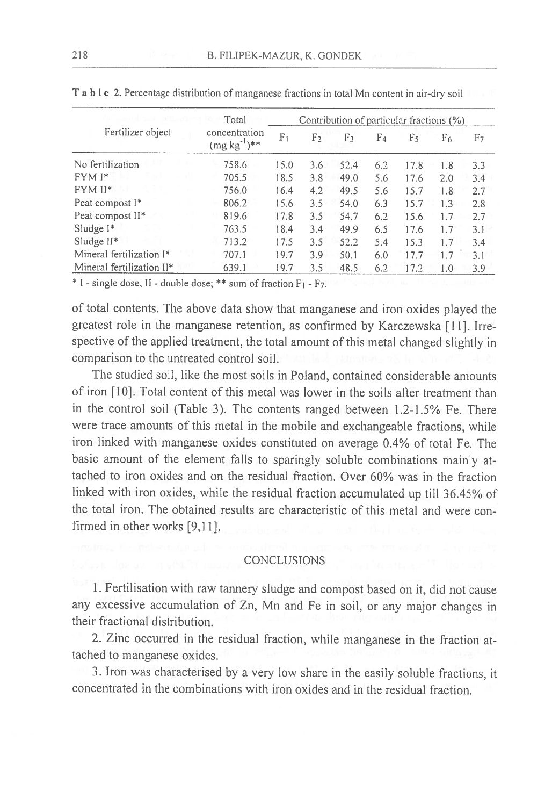| Fertilizer object         | Total<br>concentration<br>$(mg kg^{-1})$ ** | Contribution of particular fractions (%) |                |     |      |     |      |     |     |
|---------------------------|---------------------------------------------|------------------------------------------|----------------|-----|------|-----|------|-----|-----|
|                           |                                             | F <sub>1</sub>                           | F <sub>2</sub> | F٦  | F4   | F٢  | F6   | F7  |     |
| No fertilization          |                                             | 758.6                                    | 15.0           | 3.6 | 52.4 | 6.2 | 17.8 | 1.8 | 3.3 |
| $FYMI*$                   |                                             | 705.5                                    | 18.5           | 3.8 | 49.0 | 5.6 | 17.6 | 2.0 | 3.4 |
| FYM II*                   |                                             | 756.0                                    | 16.4           | 4.2 | 49.5 | 5.6 | 15.7 | 1.8 | 2.7 |
| Peat compost I*           |                                             | 806.2                                    | 15.6           | 3.5 | 54.0 | 6.3 | 15.7 | 1.3 | 2.8 |
| Peat compost II*          |                                             | 819.6                                    | 17.8           | 3.5 | 54.7 | 6.2 | 15.6 | 1.7 | 2.7 |
| Sludge $I^*$              |                                             | 763.5                                    | 18.4           | 3.4 | 49.9 | 6.5 | 17.6 | 1.7 | 3.1 |
| Sludge $II^*$             |                                             | 713.2                                    | 17.5           | 3.5 | 52.2 | 5.4 | 15.3 | 1.7 | 3.4 |
| Mineral fertilization I*  |                                             | 707.1                                    | 19.7           | 3.9 | 50.1 | 6.0 | 17.7 | 1.7 | 3.1 |
| Mineral fertilization II* |                                             | 639.1                                    | 19.7           | 3.5 | 48.5 | 6.2 | 17.2 | 1.0 | 3.9 |

T a b l e 2. Percentage distribution of manganese fractions in total Mn content in air-dry soil

\* I - single dose, II - double dose; \*\* sum of fraction F<sub>1</sub> - F7.

of total contents. The above data show that manganese and iron oxides played the greatest role in the manganese retention, as confirmed by Karczewska [11]. Irrespective of the applied treatment, the total amount of this metal changed slightly in comparison to the untreated control soil.

The studied soil, like the most soils in Poland, contained considerable amounts of iron [10]. Total content of this metal was lower in the soils after treatment than in the control soil (Table 3). The contents ranged between 1.2-1.5% Fe. There were trace amounts of this metal in the mobile and exchangeable fractions, while iron linked with manganese oxides constituted on average 0.4% of total Fe. The basic amount of the element falls to sparingly soluble combinations mainly attached to iron oxides and on the residual fraction. Over 60% was in the fraction linked with iron oxides, while the residual fraction accumulated up till 36.45% of the total iron. The obtained results are characteristic of this metal and were confirmed in other works [9,11].

## **CONCLUSIONS**

1. Fertilisation with raw tannery sludge and compost based on it, did not cause any excessive accumulation of Zn, Mn and Fe in soil, or any major changes in their fractional distribution.

2. Zinc occurred in the residual fraction, while manganese in the fraction attached to manganese oxides.

3. Iron was characterised by a very low share in the easily soluble fractions, it concentrated in the combinations with iron oxides and in the residual fraction.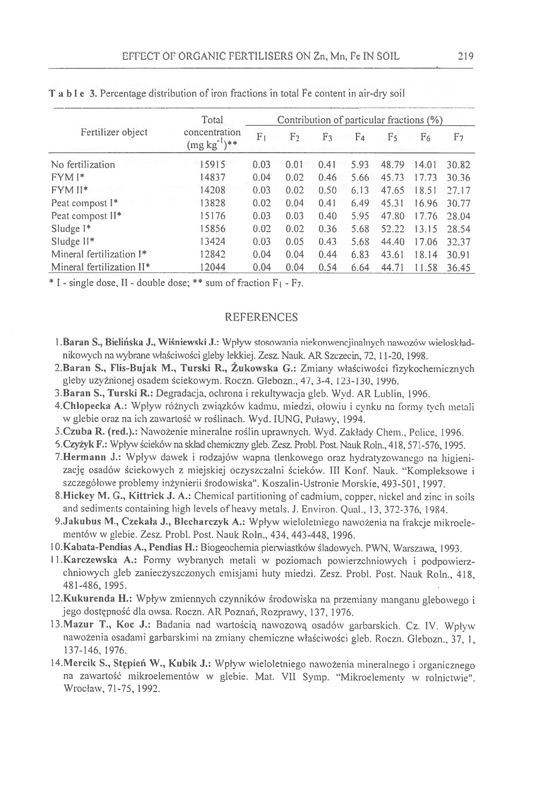|                                       | Total<br>concentration<br>$(mg kg^{-1})$ ** | Contribution of particular fractions (%) |      |                |      |        |       |       |  |
|---------------------------------------|---------------------------------------------|------------------------------------------|------|----------------|------|--------|-------|-------|--|
| Fertilizer object                     |                                             | F١                                       | F٦   | F <sub>3</sub> | F4   | F٢     | F6    | F7    |  |
| No fertilization                      | 15915                                       | 0.03                                     | 0.01 | 0.41           | 5.93 | 48.79  | 14.01 | 30.82 |  |
| $FYMI*$                               | 14837                                       | 0.04                                     | 0.02 | 0.46           | 5.66 | 45.73  | 17.73 | 30.36 |  |
| $FYMII*$                              | 14208                                       | 0.03                                     | 0.02 | (0.50)         | 6.13 | 47.65  | 18.51 | 27.17 |  |
| Peat compost I*                       | 13828                                       | 0.02                                     | 0.04 | 0.41           | 6.49 | 45.31  | 16.96 | 30.77 |  |
| Peat compost II <sup>*</sup>          | 15176                                       | 0.03                                     | 0.03 | 0.40           | 5.95 | 47.80  | 17.76 | 28.04 |  |
| Sludge $1*$                           | 15856                                       | 0.02                                     | 0.02 | 0.36           | 5.68 | 52.22  | 13.15 | 28.54 |  |
| Sludge $II^*$                         | 13424                                       | 0.03                                     | 0.05 | 0.43           | 5.68 | 44.4() | 17.06 | 32.37 |  |
| Mineral fertilization I*              | 12842                                       | 0.04                                     | 0.04 | 0.44           | 6.83 | 43.61  | 18.14 | 30.91 |  |
| Mineral fertilization II <sup>*</sup> | 12044                                       | 0.04                                     | 0.04 | 0.54           | 6.64 | 44.71  | 11.58 | 36.45 |  |

T a b I e 3. Percentage distribution of iron fractions in total Fe content in air-dry soil

 $*$  I - single dose, II - double dose;  $**$  sum of fraction  $F_1$  -  $F_7$ .

#### **REFERENCES**

- 1. Baran S., Bielińska J., Wiśniewski J.: Wpływ stosowania niekonwencjinalnych nawozów wieloskładnikowych na wybrane właściwości gleby lekkiej. Zesz. Nauk. AR Szczecin, 72, 11-20, 1998.
- 2.Baran S., Flis-Bujak M., Turski R., Żukowska G.: Zmiany właściwości fizykochemicznych gleby użyźnionej osadem ściekowym. Roczn. Glebozn., 47, 3-4, 123-130, 1996.
- 3.Baran S., Turski R.: Degradacja, ochrona i rekultywacja gleb. Wyd. AR Lublin, 1996.
- 4. Chłopecka A.: Wpływ różnych związków kadmu, miedzi, ołowiu i cynku na formy tych metali w glebie oraz na ich zawartość w roślinach. Wyd. IUNG, Puławy, 1994.
- 5. Czuba R. (red.).: Nawożenie mineralne roślin uprawnych. Wyd. Zakłady Chem., Police, 1996.
- 5. Czyżyk F.: Wpływ ścieków na skład chemiczny gleb. Zesz. Probl. Post. Nauk Roln., 418, 571-576, 1995.
- 7. Hermann J.: Wpływ dawek i rodzajów wapna tlenkowego oraz hydratyzowanego na higienizację osadów ściekowych z miejskiej oczyszczalni ścieków. III Konf. Nauk. "Kompleksowe i szczegółowe problemy inżynierii środowiska". Koszalin-Ustronie Morskie, 493-501, 1997.
- 8. Hickey M. G., Kittrick J. A.: Chemical partitioning of cadmium, copper, nickel and zinc in soils and sediments containing high levels of heavy metals. J. Environ. Qual., 13, 372-376, 1984.
- 9. Jakubus M., Czekała J., Blecharczyk A.: Wpływ wieloletniego nawożenia na frakcje mikroelementów w glebie. Zesz. Probl. Post. Nauk Roln., 434, 443-448, 1996.
- 10. Kabata-Pendias A., Pendias H.: Biogeochemia pierwiastków śladowych. PWN, Warszawa. 1993.
- 11. Karczewska A.: Formy wybranych metali w poziomach powierzchniowych i podpowierzchniowych gleb zanieczyszczonych emisjami huty miedzi. Zesz. Probl. Post. Nauk Roln., 418, 481-486, 1995.
- 12. Kukurenda H.: Wpływ zmiennych czynników środowiska na przemiany manganu glebowego i jego dostępność dla owsa. Roczn. AR Poznań, Rozprawy, 137, 1976.
- 13. Mazur T., Koc J.: Badania nad wartością nawozową osadów garbarskich. Cz. IV. Wpływ nawożenia osadami garbarskimi na zmiany chemiczne właściwości gleb. Roczn. Glebozn., 37, 1, 137-146, 1976.
- 14. Mercik S., Stępień W., Kubik J.: Wpływ wieloletniego nawożenia mineralnego i organicznego na zawartość mikroelementów w glebie. Mat. VII Symp. "Mikroelementy w rolnictwie". Wrocław, 71-75, 1992.